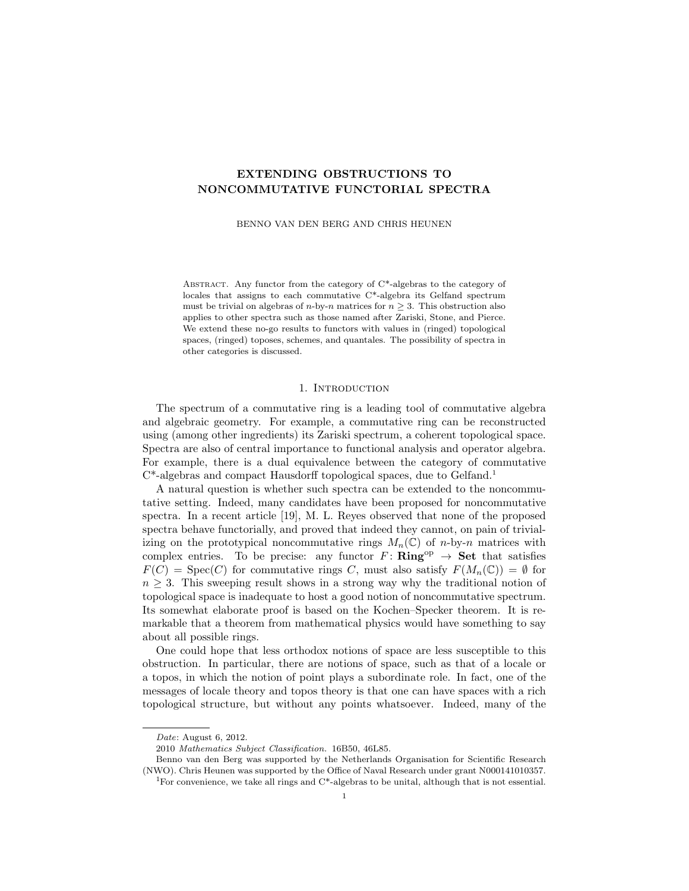# EXTENDING OBSTRUCTIONS TO NONCOMMUTATIVE FUNCTORIAL SPECTRA

BENNO VAN DEN BERG AND CHRIS HEUNEN

ABSTRACT. Any functor from the category of C\*-algebras to the category of locales that assigns to each commutative C\*-algebra its Gelfand spectrum must be trivial on algebras of *n*-by-*n* matrices for  $n > 3$ . This obstruction also applies to other spectra such as those named after Zariski, Stone, and Pierce. We extend these no-go results to functors with values in (ringed) topological spaces, (ringed) toposes, schemes, and quantales. The possibility of spectra in other categories is discussed.

# 1. INTRODUCTION

The spectrum of a commutative ring is a leading tool of commutative algebra and algebraic geometry. For example, a commutative ring can be reconstructed using (among other ingredients) its Zariski spectrum, a coherent topological space. Spectra are also of central importance to functional analysis and operator algebra. For example, there is a dual equivalence between the category of commutative C\*-algebras and compact Hausdorff topological spaces, due to Gelfand.<sup>1</sup>

A natural question is whether such spectra can be extended to the noncommutative setting. Indeed, many candidates have been proposed for noncommutative spectra. In a recent article [19], M. L. Reyes observed that none of the proposed spectra behave functorially, and proved that indeed they cannot, on pain of trivializing on the prototypical noncommutative rings  $M_n(\mathbb{C})$  of n-by-n matrices with complex entries. To be precise: any functor  $F: Ring^{op} \to Set$  that satisfies  $F(C) = \text{Spec}(C)$  for commutative rings C, must also satisfy  $F(M_n(\mathbb{C})) = \emptyset$  for  $n \geq 3$ . This sweeping result shows in a strong way why the traditional notion of topological space is inadequate to host a good notion of noncommutative spectrum. Its somewhat elaborate proof is based on the Kochen–Specker theorem. It is remarkable that a theorem from mathematical physics would have something to say about all possible rings.

One could hope that less orthodox notions of space are less susceptible to this obstruction. In particular, there are notions of space, such as that of a locale or a topos, in which the notion of point plays a subordinate role. In fact, one of the messages of locale theory and topos theory is that one can have spaces with a rich topological structure, but without any points whatsoever. Indeed, many of the

Date: August 6, 2012.

<sup>2010</sup> Mathematics Subject Classification. 16B50, 46L85.

Benno van den Berg was supported by the Netherlands Organisation for Scientific Research (NWO). Chris Heunen was supported by the Office of Naval Research under grant N000141010357.

<sup>&</sup>lt;sup>1</sup>For convenience, we take all rings and  $C^*$ -algebras to be unital, although that is not essential.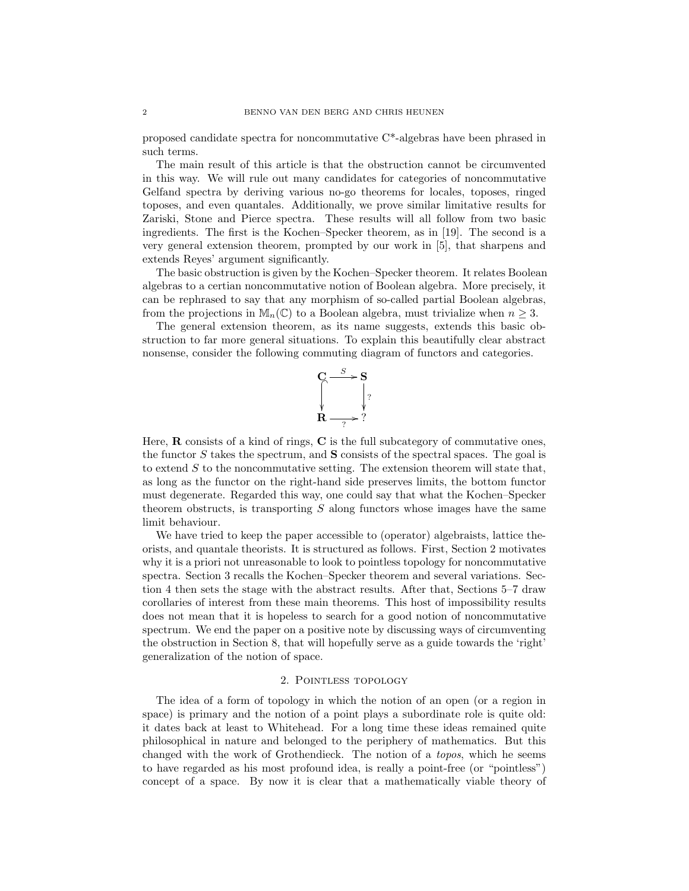proposed candidate spectra for noncommutative C\*-algebras have been phrased in such terms.

The main result of this article is that the obstruction cannot be circumvented in this way. We will rule out many candidates for categories of noncommutative Gelfand spectra by deriving various no-go theorems for locales, toposes, ringed toposes, and even quantales. Additionally, we prove similar limitative results for Zariski, Stone and Pierce spectra. These results will all follow from two basic ingredients. The first is the Kochen–Specker theorem, as in [19]. The second is a very general extension theorem, prompted by our work in [5], that sharpens and extends Reyes' argument significantly.

The basic obstruction is given by the Kochen–Specker theorem. It relates Boolean algebras to a certian noncommutative notion of Boolean algebra. More precisely, it can be rephrased to say that any morphism of so-called partial Boolean algebras, from the projections in  $\mathbb{M}_n(\mathbb{C})$  to a Boolean algebra, must trivialize when  $n \geq 3$ .

The general extension theorem, as its name suggests, extends this basic obstruction to far more general situations. To explain this beautifully clear abstract nonsense, consider the following commuting diagram of functors and categories.



Here,  **consists of a kind of rings,**  $**C**$  **is the full subcategory of commutative ones,** the functor  $S$  takes the spectrum, and  $S$  consists of the spectral spaces. The goal is to extend  $S$  to the noncommutative setting. The extension theorem will state that, as long as the functor on the right-hand side preserves limits, the bottom functor must degenerate. Regarded this way, one could say that what the Kochen–Specker theorem obstructs, is transporting  $S$  along functors whose images have the same limit behaviour.

We have tried to keep the paper accessible to (operator) algebraists, lattice theorists, and quantale theorists. It is structured as follows. First, Section 2 motivates why it is a priori not unreasonable to look to pointless topology for noncommutative spectra. Section 3 recalls the Kochen–Specker theorem and several variations. Section 4 then sets the stage with the abstract results. After that, Sections 5–7 draw corollaries of interest from these main theorems. This host of impossibility results does not mean that it is hopeless to search for a good notion of noncommutative spectrum. We end the paper on a positive note by discussing ways of circumventing the obstruction in Section 8, that will hopefully serve as a guide towards the 'right' generalization of the notion of space.

# 2. Pointless topology

The idea of a form of topology in which the notion of an open (or a region in space) is primary and the notion of a point plays a subordinate role is quite old: it dates back at least to Whitehead. For a long time these ideas remained quite philosophical in nature and belonged to the periphery of mathematics. But this changed with the work of Grothendieck. The notion of a topos, which he seems to have regarded as his most profound idea, is really a point-free (or "pointless") concept of a space. By now it is clear that a mathematically viable theory of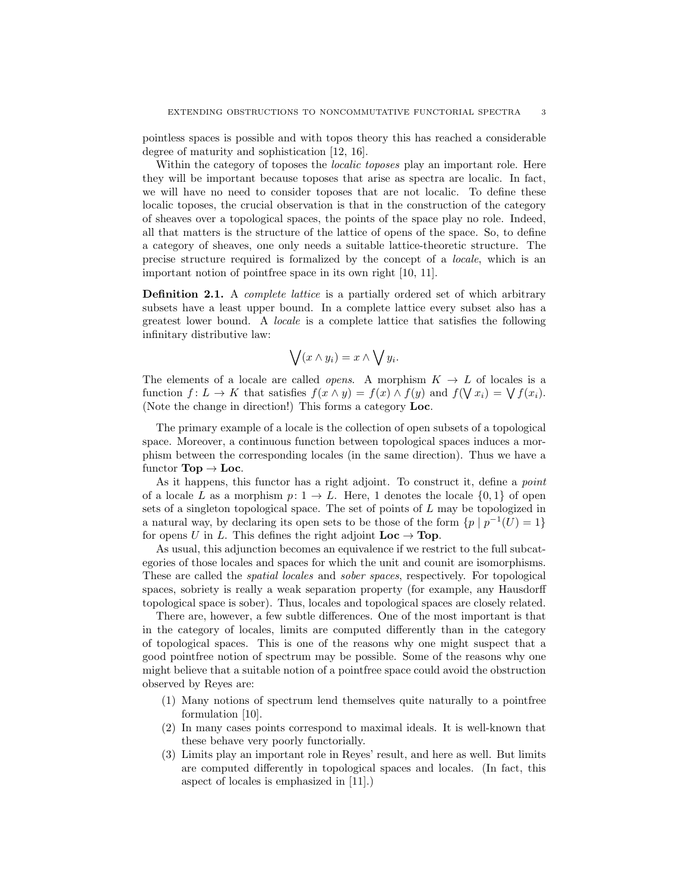pointless spaces is possible and with topos theory this has reached a considerable degree of maturity and sophistication [12, 16].

Within the category of toposes the *localic toposes* play an important role. Here they will be important because toposes that arise as spectra are localic. In fact, we will have no need to consider toposes that are not localic. To define these localic toposes, the crucial observation is that in the construction of the category of sheaves over a topological spaces, the points of the space play no role. Indeed, all that matters is the structure of the lattice of opens of the space. So, to define a category of sheaves, one only needs a suitable lattice-theoretic structure. The precise structure required is formalized by the concept of a locale, which is an important notion of pointfree space in its own right [10, 11].

**Definition 2.1.** A *complete lattice* is a partially ordered set of which arbitrary subsets have a least upper bound. In a complete lattice every subset also has a greatest lower bound. A locale is a complete lattice that satisfies the following infinitary distributive law:

$$
\bigvee (x \wedge y_i) = x \wedge \bigvee y_i.
$$

The elements of a locale are called *opens.* A morphism  $K \to L$  of locales is a function  $f: L \to K$  that satisfies  $f(x \wedge y) = f(x) \wedge f(y)$  and  $f(\nabla x_i) = \nabla f(x_i)$ . (Note the change in direction!) This forms a category Loc.

The primary example of a locale is the collection of open subsets of a topological space. Moreover, a continuous function between topological spaces induces a morphism between the corresponding locales (in the same direction). Thus we have a functor  $\textbf{Top} \to \textbf{Loc}.$ 

As it happens, this functor has a right adjoint. To construct it, define a *point* of a locale L as a morphism  $p: 1 \to L$ . Here, 1 denotes the locale  $\{0, 1\}$  of open sets of a singleton topological space. The set of points of L may be topologized in a natural way, by declaring its open sets to be those of the form  $\{p \mid p^{-1}(U)=1\}$ for opens U in L. This defines the right adjoint  $Loc \rightarrow Top$ .

As usual, this adjunction becomes an equivalence if we restrict to the full subcategories of those locales and spaces for which the unit and counit are isomorphisms. These are called the spatial locales and sober spaces, respectively. For topological spaces, sobriety is really a weak separation property (for example, any Hausdorff topological space is sober). Thus, locales and topological spaces are closely related.

There are, however, a few subtle differences. One of the most important is that in the category of locales, limits are computed differently than in the category of topological spaces. This is one of the reasons why one might suspect that a good pointfree notion of spectrum may be possible. Some of the reasons why one might believe that a suitable notion of a pointfree space could avoid the obstruction observed by Reyes are:

- (1) Many notions of spectrum lend themselves quite naturally to a pointfree formulation [10].
- (2) In many cases points correspond to maximal ideals. It is well-known that these behave very poorly functorially.
- (3) Limits play an important role in Reyes' result, and here as well. But limits are computed differently in topological spaces and locales. (In fact, this aspect of locales is emphasized in [11].)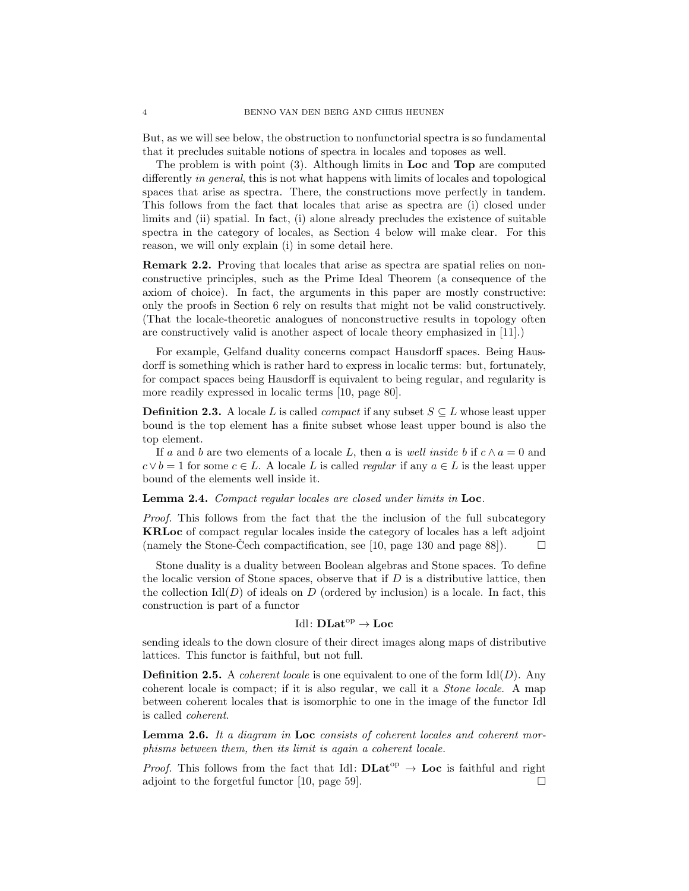But, as we will see below, the obstruction to nonfunctorial spectra is so fundamental that it precludes suitable notions of spectra in locales and toposes as well.

The problem is with point (3). Although limits in Loc and Top are computed differently in general, this is not what happens with limits of locales and topological spaces that arise as spectra. There, the constructions move perfectly in tandem. This follows from the fact that locales that arise as spectra are (i) closed under limits and (ii) spatial. In fact, (i) alone already precludes the existence of suitable spectra in the category of locales, as Section 4 below will make clear. For this reason, we will only explain (i) in some detail here.

Remark 2.2. Proving that locales that arise as spectra are spatial relies on nonconstructive principles, such as the Prime Ideal Theorem (a consequence of the axiom of choice). In fact, the arguments in this paper are mostly constructive: only the proofs in Section 6 rely on results that might not be valid constructively. (That the locale-theoretic analogues of nonconstructive results in topology often are constructively valid is another aspect of locale theory emphasized in [11].)

For example, Gelfand duality concerns compact Hausdorff spaces. Being Hausdorff is something which is rather hard to express in localic terms: but, fortunately, for compact spaces being Hausdorff is equivalent to being regular, and regularity is more readily expressed in localic terms [10, page 80].

**Definition 2.3.** A locale L is called *compact* if any subset  $S \subseteq L$  whose least upper bound is the top element has a finite subset whose least upper bound is also the top element.

If a and b are two elements of a locale L, then a is well inside b if  $c \wedge a = 0$  and  $c \vee b = 1$  for some  $c \in L$ . A locale L is called *regular* if any  $a \in L$  is the least upper bound of the elements well inside it.

#### Lemma 2.4. Compact regular locales are closed under limits in Loc.

Proof. This follows from the fact that the the inclusion of the full subcategory KRLoc of compact regular locales inside the category of locales has a left adjoint (namely the Stone-Cech compactification, see [10, page 130 and page 88]).  $\Box$ 

Stone duality is a duality between Boolean algebras and Stone spaces. To define the localic version of Stone spaces, observe that if  $D$  is a distributive lattice, then the collection  $\text{Id}(D)$  of ideals on D (ordered by inclusion) is a locale. In fact, this construction is part of a functor

# Idl:  $\mathbf{DLat}^{\mathrm{op}} \to \mathbf{Loc}$

sending ideals to the down closure of their direct images along maps of distributive lattices. This functor is faithful, but not full.

**Definition 2.5.** A *coherent locale* is one equivalent to one of the form  $\text{Idl}(D)$ . Any coherent locale is compact; if it is also regular, we call it a Stone locale. A map between coherent locales that is isomorphic to one in the image of the functor Idl is called coherent.

**Lemma 2.6.** It a diagram in Loc consists of coherent locales and coherent morphisms between them, then its limit is again a coherent locale.

*Proof.* This follows from the fact that Idl:  $DLat^{op} \rightarrow Loc$  is faithful and right adjoint to the forgetful functor [10, page 59].  $\Box$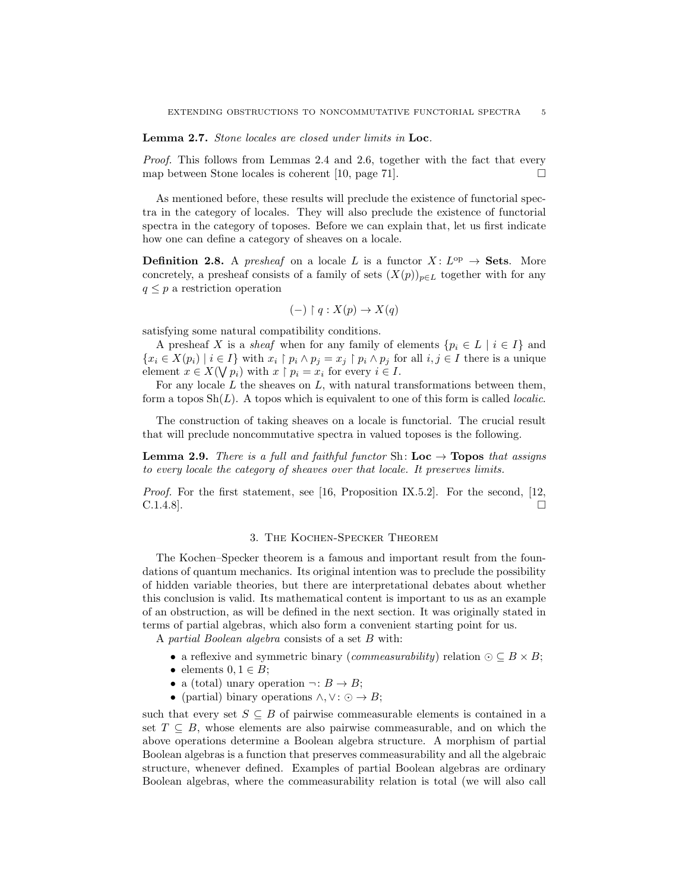Lemma 2.7. Stone locales are closed under limits in Loc.

Proof. This follows from Lemmas 2.4 and 2.6, together with the fact that every map between Stone locales is coherent [10, page 71].  $\square$ 

As mentioned before, these results will preclude the existence of functorial spectra in the category of locales. They will also preclude the existence of functorial spectra in the category of toposes. Before we can explain that, let us first indicate how one can define a category of sheaves on a locale.

**Definition 2.8.** A presheaf on a locale L is a functor  $X: L^{op} \to \mathbf{Sets}$ . More concretely, a presheaf consists of a family of sets  $(X(p))_{p\in L}$  together with for any  $q \leq p$  a restriction operation

$$
(-) \restriction q : X(p) \to X(q)
$$

satisfying some natural compatibility conditions.

A presheaf X is a sheaf when for any family of elements  $\{p_i \in L \mid i \in I\}$  and  ${x_i \in X(p_i) \mid i \in I}$  with  $x_i \upharpoonright p_i \wedge p_j = x_j \upharpoonright p_i \wedge p_j$  for all  $i, j \in I$  there is a unique element  $x \in X(\bigvee p_i)$  with  $x \upharpoonright p_i = x_i$  for every  $i \in I$ .

For any locale  $L$  the sheaves on  $L$ , with natural transformations between them, form a topos  $\text{Sh}(L)$ . A topos which is equivalent to one of this form is called *localic*.

The construction of taking sheaves on a locale is functorial. The crucial result that will preclude noncommutative spectra in valued toposes is the following.

**Lemma 2.9.** There is a full and faithful functor Sh:  $Loc \rightarrow Topos$  that assigns to every locale the category of sheaves over that locale. It preserves limits.

*Proof.* For the first statement, see [16, Proposition IX.5.2]. For the second, [12,  $\Box$  C.1.4.8].

#### 3. The Kochen-Specker Theorem

The Kochen–Specker theorem is a famous and important result from the foundations of quantum mechanics. Its original intention was to preclude the possibility of hidden variable theories, but there are interpretational debates about whether this conclusion is valid. Its mathematical content is important to us as an example of an obstruction, as will be defined in the next section. It was originally stated in terms of partial algebras, which also form a convenient starting point for us.

A partial Boolean algebra consists of a set B with:

- a reflexive and symmetric binary (*commeasurability*) relation  $\odot \subseteq B \times B$ ;
- elements  $0, 1 \in B$ ;
- a (total) unary operation  $\neg: B \to B$ ;
- (partial) binary operations  $\land$ ,  $\lor$ :  $\odot \rightarrow B$ ;

such that every set  $S \subseteq B$  of pairwise commeasurable elements is contained in a set  $T \subseteq B$ , whose elements are also pairwise commeasurable, and on which the above operations determine a Boolean algebra structure. A morphism of partial Boolean algebras is a function that preserves commeasurability and all the algebraic structure, whenever defined. Examples of partial Boolean algebras are ordinary Boolean algebras, where the commeasurability relation is total (we will also call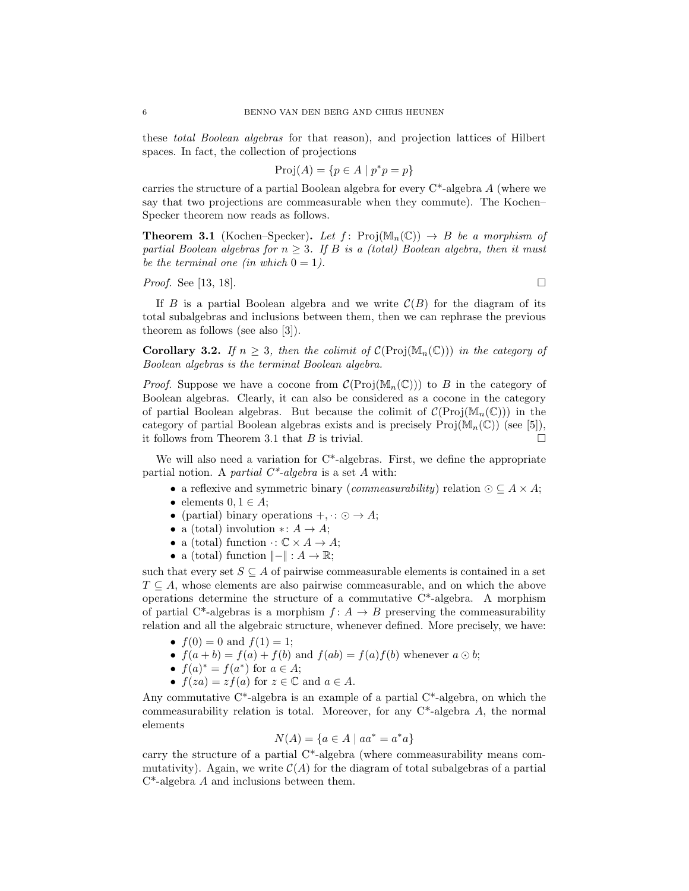these total Boolean algebras for that reason), and projection lattices of Hilbert spaces. In fact, the collection of projections

$$
Proj(A) = \{ p \in A \mid p^*p = p \}
$$

carries the structure of a partial Boolean algebra for every  $C^*$ -algebra A (where we say that two projections are commeasurable when they commute). The Kochen– Specker theorem now reads as follows.

**Theorem 3.1** (Kochen–Specker). Let  $f: Proj(\mathbb{M}_n(\mathbb{C})) \rightarrow B$  be a morphism of partial Boolean algebras for  $n \geq 3$ . If B is a (total) Boolean algebra, then it must be the terminal one (in which  $0 = 1$ ).

*Proof.* See [13, 18].

If B is a partial Boolean algebra and we write  $\mathcal{C}(B)$  for the diagram of its total subalgebras and inclusions between them, then we can rephrase the previous theorem as follows (see also [3]).

Corollary 3.2. If  $n \geq 3$ , then the colimit of  $\mathcal{C}(\text{Proj}(\mathbb{M}_n(\mathbb{C})))$  in the category of Boolean algebras is the terminal Boolean algebra.

*Proof.* Suppose we have a cocone from  $\mathcal{C}(\text{Proj}(\mathbb{M}_n(\mathbb{C})))$  to B in the category of Boolean algebras. Clearly, it can also be considered as a cocone in the category of partial Boolean algebras. But because the colimit of  $\mathcal{C}(\text{Proj}(\mathbb{M}_n(\mathbb{C})))$  in the category of partial Boolean algebras exists and is precisely  $\text{Proj}(M_n(\mathbb{C}))$  (see [5]), it follows from Theorem 3.1 that B is trivial.  $\square$ 

We will also need a variation for  $C^*$ -algebras. First, we define the appropriate partial notion. A partial  $C^*$ -algebra is a set A with:

- a reflexive and symmetric binary (*commeasurability*) relation  $\odot \subseteq A \times A$ ;
- elements  $0, 1 \in A$ ;
- (partial) binary operations  $+$ ,  $\cdot : \odot \rightarrow A$ ;
- a (total) involution  $\ast: A \to A$ ;
- a (total) function  $\cdot: \mathbb{C} \times A \rightarrow A$ ;
- a (total) function  $\Vert \Vert : A \to \mathbb{R};$

such that every set  $S \subseteq A$  of pairwise commeasurable elements is contained in a set  $T \subseteq A$ , whose elements are also pairwise commeasurable, and on which the above operations determine the structure of a commutative  $C^*$ -algebra. A morphism of partial C<sup>\*</sup>-algebras is a morphism  $f: A \rightarrow B$  preserving the commeasurability relation and all the algebraic structure, whenever defined. More precisely, we have:

- $f(0) = 0$  and  $f(1) = 1$ ;
- $f(a + b) = f(a) + f(b)$  and  $f(ab) = f(a)f(b)$  whenever  $a \odot b$ ;
- $f(a)^* = f(a^*)$  for  $a \in A$ ;
- $f(za) = zf(a)$  for  $z \in \mathbb{C}$  and  $a \in A$ .

Any commutative  $C^*$ -algebra is an example of a partial  $C^*$ -algebra, on which the commeasurability relation is total. Moreover, for any  $C^*$ -algebra A, the normal elements

$$
N(A) = \{a \in A \mid aa^* = a^*a\}
$$

carry the structure of a partial C\*-algebra (where commeasurability means commutativity). Again, we write  $\mathcal{C}(A)$  for the diagram of total subalgebras of a partial C\*-algebra A and inclusions between them.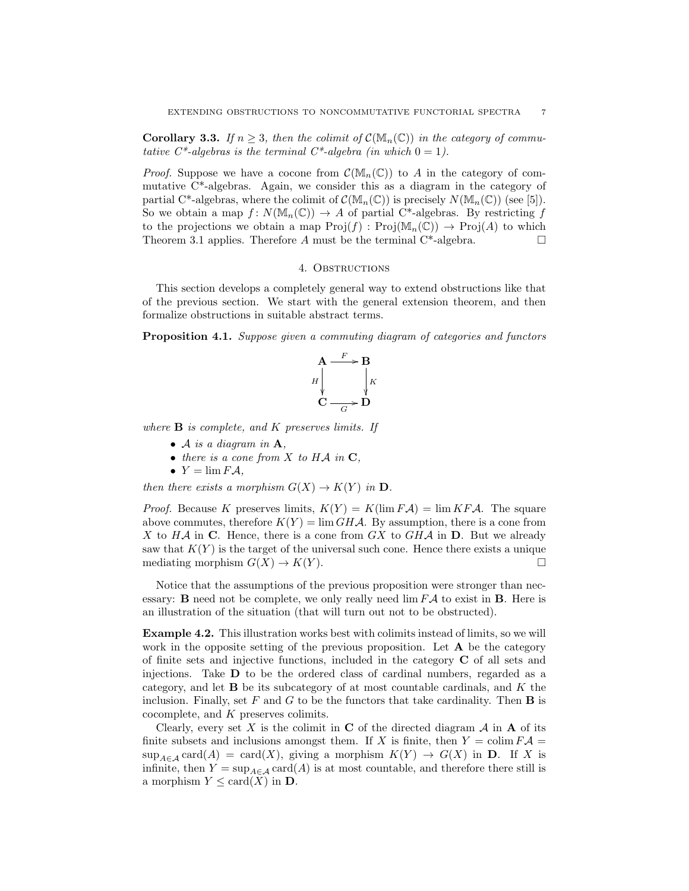**Corollary 3.3.** If  $n \geq 3$ , then the colimit of  $C(\mathbb{M}_n(\mathbb{C}))$  in the category of commutative  $C^*$ -algebras is the terminal  $C^*$ -algebra (in which  $0 = 1$ ).

*Proof.* Suppose we have a cocone from  $\mathcal{C}(\mathbb{M}_n(\mathbb{C}))$  to A in the category of commutative C\*-algebras. Again, we consider this as a diagram in the category of partial C\*-algebras, where the colimit of  $\mathcal{C}(\mathbb{M}_n(\mathbb{C}))$  is precisely  $N(\mathbb{M}_n(\mathbb{C}))$  (see [5]). So we obtain a map  $f: N(\mathbb{M}_n(\mathbb{C})) \to A$  of partial C<sup>\*</sup>-algebras. By restricting f to the projections we obtain a map  $\text{Proj}(f) : \text{Proj}(\mathbb{M}_n(\mathbb{C})) \to \text{Proj}(A)$  to which Theorem 3.1 applies. Therefore A must be the terminal  $C^*$ -algebra.

#### 4. OBSTRUCTIONS

This section develops a completely general way to extend obstructions like that of the previous section. We start with the general extension theorem, and then formalize obstructions in suitable abstract terms.

Proposition 4.1. Suppose given a commuting diagram of categories and functors

$$
A \xrightarrow{F} B
$$
  
H  
C  
C  
 
$$
B
$$
  
 
$$
B
$$
  
 
$$
B
$$
  
 
$$
B
$$
  
 
$$
B
$$
  
 
$$
B
$$
  
 
$$
B
$$
  
 
$$
B
$$

where  $\bf{B}$  is complete, and  $K$  preserves limits. If

- $\bullet$  A is a diagram in  $\mathbf{A}$ .
- there is a cone from  $X$  to  $H\mathcal{A}$  in  $\mathbf{C}$ ,
- $Y = \lim F \mathcal{A},$

then there exists a morphism  $G(X) \to K(Y)$  in **D**.

*Proof.* Because K preserves limits,  $K(Y) = K(\lim F \mathcal{A}) = \lim K F \mathcal{A}$ . The square above commutes, therefore  $K(Y) = \lim{GHA}$ . By assumption, there is a cone from X to  $H\mathcal{A}$  in C. Hence, there is a cone from  $GX$  to  $GH\mathcal{A}$  in D. But we already saw that  $K(Y)$  is the target of the universal such cone. Hence there exists a unique mediating morphism  $G(X) \to K(Y)$ .

Notice that the assumptions of the previous proposition were stronger than necessary: **B** need not be complete, we only really need  $\lim F \mathcal{A}$  to exist in **B**. Here is an illustration of the situation (that will turn out not to be obstructed).

Example 4.2. This illustration works best with colimits instead of limits, so we will work in the opposite setting of the previous proposition. Let  $A$  be the category of finite sets and injective functions, included in the category C of all sets and injections. Take D to be the ordered class of cardinal numbers, regarded as a category, and let  $\bf{B}$  be its subcategory of at most countable cardinals, and  $K$  the inclusion. Finally, set F and G to be the functors that take cardinality. Then  $\bf{B}$  is cocomplete, and K preserves colimits.

Clearly, every set X is the colimit in C of the directed diagram  $\mathcal A$  in A of its finite subsets and inclusions amongst them. If X is finite, then  $Y = \text{colim } F \mathcal{A} =$  $\sup_{A \in \mathcal{A}} \text{card}(A) = \text{card}(X)$ , giving a morphism  $K(Y) \to G(X)$  in **D**. If X is infinite, then  $Y = \sup_{A \in \mathcal{A}} \text{card}(A)$  is at most countable, and therefore there still is a morphism  $Y \leq \text{card}(X)$  in **D**.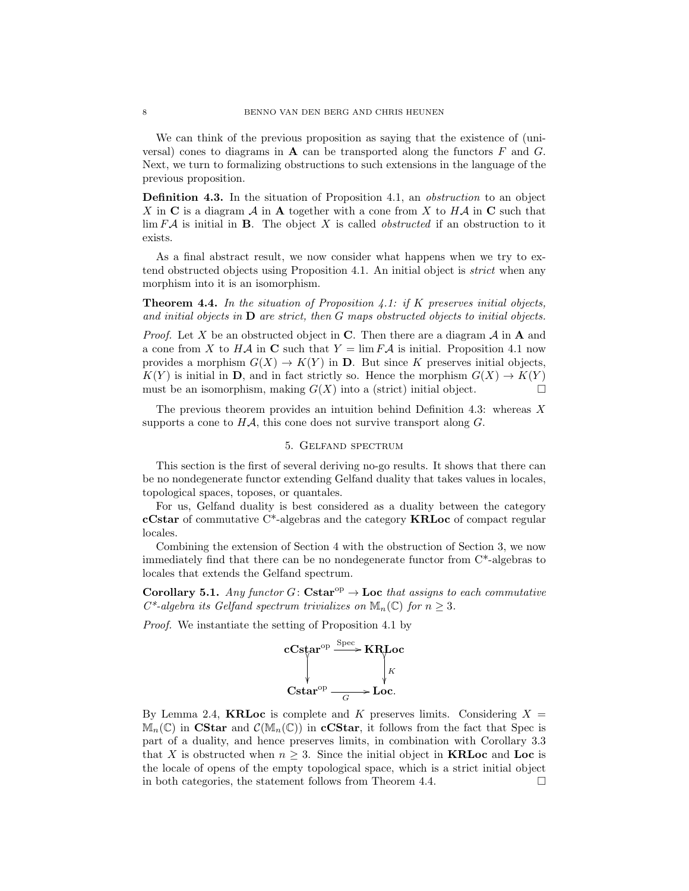We can think of the previous proposition as saying that the existence of (universal) cones to diagrams in  $\bf{A}$  can be transported along the functors  $F$  and  $G$ . Next, we turn to formalizing obstructions to such extensions in the language of the previous proposition.

**Definition 4.3.** In the situation of Proposition 4.1, an *obstruction* to an object X in C is a diagram  $\mathcal A$  in A together with a cone from X to H $\mathcal A$  in C such that  $\lim F\mathcal{A}$  is initial in **B**. The object X is called *obstructed* if an obstruction to it exists.

As a final abstract result, we now consider what happens when we try to extend obstructed objects using Proposition 4.1. An initial object is *strict* when any morphism into it is an isomorphism.

**Theorem 4.4.** In the situation of Proposition 4.1: if K preserves initial objects, and initial objects in  $D$  are strict, then  $G$  maps obstructed objects to initial objects.

*Proof.* Let X be an obstructed object in C. Then there are a diagram  $\mathcal A$  in A and a cone from X to HA in C such that  $Y = \lim F \mathcal{A}$  is initial. Proposition 4.1 now provides a morphism  $G(X) \to K(Y)$  in **D**. But since K preserves initial objects,  $K(Y)$  is initial in **D**, and in fact strictly so. Hence the morphism  $G(X) \to K(Y)$ must be an isomorphism, making  $G(X)$  into a (strict) initial object.

The previous theorem provides an intuition behind Definition 4.3: whereas  $X$ supports a cone to  $H\mathcal{A}$ , this cone does not survive transport along  $G$ .

# 5. Gelfand spectrum

This section is the first of several deriving no-go results. It shows that there can be no nondegenerate functor extending Gelfand duality that takes values in locales, topological spaces, toposes, or quantales.

For us, Gelfand duality is best considered as a duality between the category cCstar of commutative C\*-algebras and the category KRLoc of compact regular locales.

Combining the extension of Section 4 with the obstruction of Section 3, we now immediately find that there can be no nondegenerate functor from C\*-algebras to locales that extends the Gelfand spectrum.

Corollary 5.1. Any functor  $G:$  Cstar<sup>op</sup>  $\rightarrow$  Loc that assigns to each commutative  $C^*$ -algebra its Gelfand spectrum trivializes on  $\mathbb{M}_n(\mathbb{C})$  for  $n \geq 3$ .

Proof. We instantiate the setting of Proposition 4.1 by



By Lemma 2.4, **KRLoc** is complete and K preserves limits. Considering  $X =$  $\mathbb{M}_n(\mathbb{C})$  in CStar and  $\mathcal{C}(\mathbb{M}_n(\mathbb{C}))$  in cCStar, it follows from the fact that Spec is part of a duality, and hence preserves limits, in combination with Corollary 3.3 that X is obstructed when  $n \geq 3$ . Since the initial object in **KRLoc** and **Loc** is the locale of opens of the empty topological space, which is a strict initial object in both categories, the statement follows from Theorem 4.4.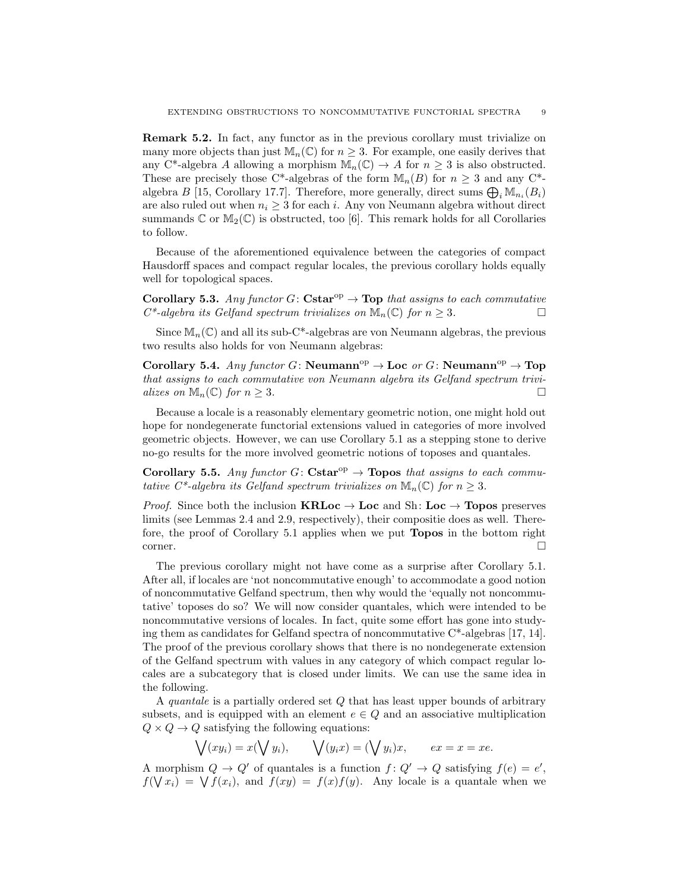Remark 5.2. In fact, any functor as in the previous corollary must trivialize on many more objects than just  $\mathbb{M}_n(\mathbb{C})$  for  $n \geq 3$ . For example, one easily derives that any C<sup>\*</sup>-algebra A allowing a morphism  $\mathbb{M}_n(\mathbb{C}) \to A$  for  $n \geq 3$  is also obstructed. These are precisely those C\*-algebras of the form  $\mathbb{M}_n(B)$  for  $n \geq 3$  and any C\*algebra  $B$  [15, Corollary 17.7]. Therefore, more generally, direct sums  $\bigoplus_i \mathbb{M}_{n_i}(B_i)$ are also ruled out when  $n_i \geq 3$  for each i. Any von Neumann algebra without direct summands  $\mathbb C$  or  $\mathbb M_2(\mathbb C)$  is obstructed, too [6]. This remark holds for all Corollaries to follow.

Because of the aforementioned equivalence between the categories of compact Hausdorff spaces and compact regular locales, the previous corollary holds equally well for topological spaces.

Corollary 5.3. Any functor  $G:$  Cstar<sup>op</sup>  $\rightarrow$  Top that assigns to each commutative  $C^*$ -algebra its Gelfand spectrum trivializes on  $\mathbb{M}_n(\mathbb{C})$  for  $n \geq 3$ .

Since  $\mathbb{M}_n(\mathbb{C})$  and all its sub-C<sup>\*</sup>-algebras are von Neumann algebras, the previous two results also holds for von Neumann algebras:

Corollary 5.4. Any functor G: Neumann<sup>op</sup>  $\rightarrow$  Loc or G: Neumann<sup>op</sup>  $\rightarrow$  Top that assigns to each commutative von Neumann algebra its Gelfand spectrum trivializes on  $\mathbb{M}_n(\mathbb{C})$  for  $n \geq 3$ .

Because a locale is a reasonably elementary geometric notion, one might hold out hope for nondegenerate functorial extensions valued in categories of more involved geometric objects. However, we can use Corollary 5.1 as a stepping stone to derive no-go results for the more involved geometric notions of toposes and quantales.

**Corollary 5.5.** Any functor G: Cstar<sup>op</sup>  $\rightarrow$  Topos that assigns to each commutative C\*-algebra its Gelfand spectrum trivializes on  $\mathbb{M}_n(\mathbb{C})$  for  $n \geq 3$ .

*Proof.* Since both the inclusion  $\mathbf{KRLoc} \to \mathbf{Loc}$  and Sh:  $\mathbf{Loc} \to \mathbf{Topos}$  preserves limits (see Lemmas 2.4 and 2.9, respectively), their compositie does as well. Therefore, the proof of Corollary 5.1 applies when we put Topos in the bottom right  $\Box$ corner.

The previous corollary might not have come as a surprise after Corollary 5.1. After all, if locales are 'not noncommutative enough' to accommodate a good notion of noncommutative Gelfand spectrum, then why would the 'equally not noncommutative' toposes do so? We will now consider quantales, which were intended to be noncommutative versions of locales. In fact, quite some effort has gone into studying them as candidates for Gelfand spectra of noncommutative  $C^*$ -algebras [17, 14]. The proof of the previous corollary shows that there is no nondegenerate extension of the Gelfand spectrum with values in any category of which compact regular locales are a subcategory that is closed under limits. We can use the same idea in the following.

A quantale is a partially ordered set  $Q$  that has least upper bounds of arbitrary subsets, and is equipped with an element  $e \in Q$  and an associative multiplication  $Q \times Q \rightarrow Q$  satisfying the following equations:

$$
\bigvee (xy_i) = x(\bigvee y_i), \qquad \bigvee (y_ix) = (\bigvee y_i)x, \qquad ex = x = xe.
$$

A morphism  $Q \to Q'$  of quantales is a function  $f: Q' \to Q$  satisfying  $f(e) = e'$ ,  $f(\bigvee x_i) = \bigvee f(x_i)$ , and  $f(xy) = f(x)f(y)$ . Any locale is a quantale when we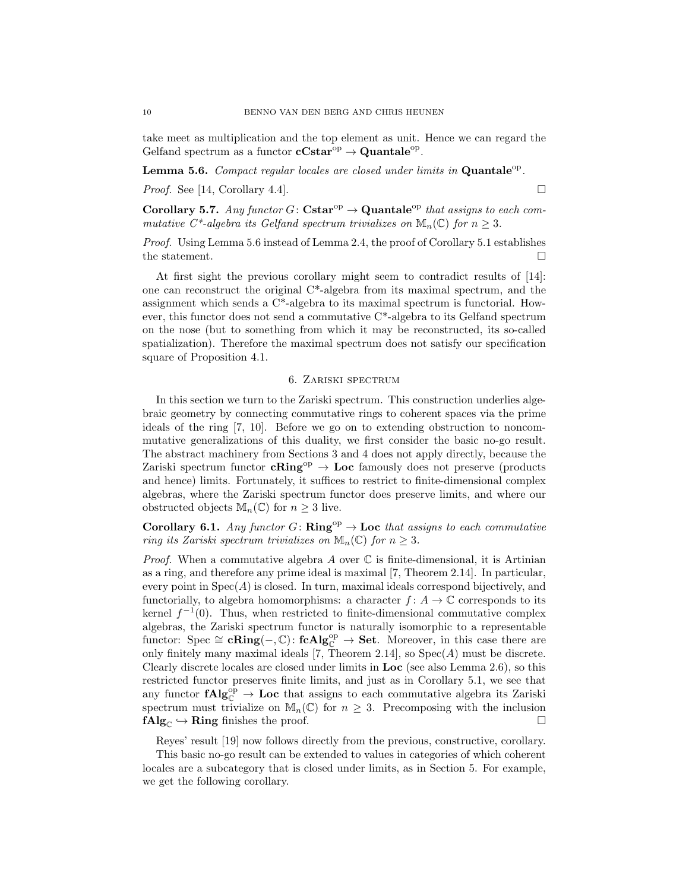take meet as multiplication and the top element as unit. Hence we can regard the Gelfand spectrum as a functor  $cCstar^{\text{op}} \to \text{Quantale}^{\text{op}}$ .

**Lemma 5.6.** Compact regular locales are closed under limits in  $\mathbf{Quantale}^{\mathrm{op}}$ .

*Proof.* See [14, Corollary 4.4].

Corollary 5.7. Any functor  $G: \mathbf{Cstar}^{op} \to \mathbf{Quantale}^{op}$  that assigns to each commutative C\*-algebra its Gelfand spectrum trivializes on  $\mathbb{M}_n(\mathbb{C})$  for  $n \geq 3$ .

Proof. Using Lemma 5.6 instead of Lemma 2.4, the proof of Corollary 5.1 establishes the statement.  $\hfill \square$ 

At first sight the previous corollary might seem to contradict results of [14]: one can reconstruct the original  $C^*$ -algebra from its maximal spectrum, and the assignment which sends a C\*-algebra to its maximal spectrum is functorial. However, this functor does not send a commutative  $C^*$ -algebra to its Gelfand spectrum on the nose (but to something from which it may be reconstructed, its so-called spatialization). Therefore the maximal spectrum does not satisfy our specification square of Proposition 4.1.

# 6. Zariski spectrum

In this section we turn to the Zariski spectrum. This construction underlies algebraic geometry by connecting commutative rings to coherent spaces via the prime ideals of the ring [7, 10]. Before we go on to extending obstruction to noncommutative generalizations of this duality, we first consider the basic no-go result. The abstract machinery from Sections 3 and 4 does not apply directly, because the Zariski spectrum functor  $cRing^{op} \to Loc$  famously does not preserve (products and hence) limits. Fortunately, it suffices to restrict to finite-dimensional complex algebras, where the Zariski spectrum functor does preserve limits, and where our obstructed objects  $\mathbb{M}_n(\mathbb{C})$  for  $n \geq 3$  live.

Corollary 6.1. Any functor G:  $\mathbf{Ring}^{\mathrm{op}} \to \mathbf{Loc}$  that assigns to each commutative ring its Zariski spectrum trivializes on  $\mathbb{M}_{n}(\mathbb{C})$  for  $n \geq 3$ .

*Proof.* When a commutative algebra A over  $\mathbb C$  is finite-dimensional, it is Artinian as a ring, and therefore any prime ideal is maximal [7, Theorem 2.14]. In particular, every point in  $Spec(A)$  is closed. In turn, maximal ideals correspond bijectively, and functorially, to algebra homomorphisms: a character  $f: A \to \mathbb{C}$  corresponds to its kernel  $f^{-1}(0)$ . Thus, when restricted to finite-dimensional commutative complex algebras, the Zariski spectrum functor is naturally isomorphic to a representable functor: Spec  $\cong$  cRing(-, C): fcAlg<sup>op</sup>  $\to$  Set. Moreover, in this case there are only finitely many maximal ideals [7, Theorem 2.14], so  $Spec(A)$  must be discrete. Clearly discrete locales are closed under limits in Loc (see also Lemma 2.6), so this restricted functor preserves finite limits, and just as in Corollary 5.1, we see that any functor  $fAlg_{\mathbb{C}}^{\text{op}} \to \text{Loc}$  that assigns to each commutative algebra its Zariski spectrum must trivialize on  $\mathbb{M}_n(\mathbb{C})$  for  $n \geq 3$ . Precomposing with the inclusion  $fAlg_{\mathbb{C}} \hookrightarrow$  Ring finishes the proof.

Reyes' result [19] now follows directly from the previous, constructive, corollary.

This basic no-go result can be extended to values in categories of which coherent locales are a subcategory that is closed under limits, as in Section 5. For example, we get the following corollary.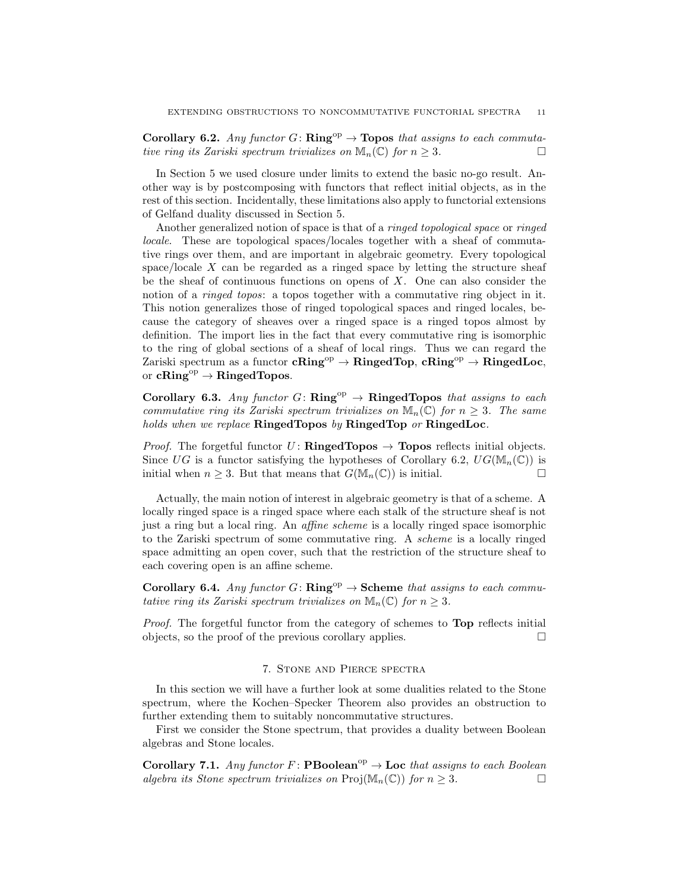Corollary 6.2. Any functor G:  $\mathbf{Ring}^{\mathrm{op}} \to \mathbf{Topos}$  that assigns to each commutative ring its Zariski spectrum trivializes on  $\mathbb{M}_n(\mathbb{C})$  for  $n \geq 3$ .

In Section 5 we used closure under limits to extend the basic no-go result. Another way is by postcomposing with functors that reflect initial objects, as in the rest of this section. Incidentally, these limitations also apply to functorial extensions of Gelfand duality discussed in Section 5.

Another generalized notion of space is that of a ringed topological space or ringed locale. These are topological spaces/locales together with a sheaf of commutative rings over them, and are important in algebraic geometry. Every topological space/locale  $X$  can be regarded as a ringed space by letting the structure sheaf be the sheaf of continuous functions on opens of  $X$ . One can also consider the notion of a *ringed topos*: a topos together with a commutative ring object in it. This notion generalizes those of ringed topological spaces and ringed locales, because the category of sheaves over a ringed space is a ringed topos almost by definition. The import lies in the fact that every commutative ring is isomorphic to the ring of global sections of a sheaf of local rings. Thus we can regard the Zariski spectrum as a functor  $cRing^{op} \to RingedTop$ ,  $cRing^{op} \to RingedLoc$ , or  $cRing<sup>op</sup> \rightarrow RingedTopos.$ 

Corollary 6.3. Any functor G:  $\mathbf{Ring}^{\mathrm{op}} \to \mathbf{Ringed}$  Topos that assigns to each commutative ring its Zariski spectrum trivializes on  $\mathbb{M}_n(\mathbb{C})$  for  $n \geq 3$ . The same holds when we replace RingedTopos by RingedTop or RingedLoc.

*Proof.* The forgetful functor  $U:$  **RingedTopos**  $\rightarrow$  **Topos** reflects initial objects. Since UG is a functor satisfying the hypotheses of Corollary 6.2,  $UG(M_n(\mathbb{C}))$  is initial when  $n \geq 3$ . But that means that  $G(\mathbb{M}_n(\mathbb{C}))$  is initial.

Actually, the main notion of interest in algebraic geometry is that of a scheme. A locally ringed space is a ringed space where each stalk of the structure sheaf is not just a ring but a local ring. An affine scheme is a locally ringed space isomorphic to the Zariski spectrum of some commutative ring. A scheme is a locally ringed space admitting an open cover, such that the restriction of the structure sheaf to each covering open is an affine scheme.

Corollary 6.4. Any functor  $G: \mathbf{Ring}^{\mathrm{op}} \to \mathbf{S}$ cheme that assigns to each commutative ring its Zariski spectrum trivializes on  $\mathbb{M}_n(\mathbb{C})$  for  $n \geq 3$ .

Proof. The forgetful functor from the category of schemes to Top reflects initial objects, so the proof of the previous corollary applies.  $\Box$ 

## 7. Stone and Pierce spectra

In this section we will have a further look at some dualities related to the Stone spectrum, where the Kochen–Specker Theorem also provides an obstruction to further extending them to suitably noncommutative structures.

First we consider the Stone spectrum, that provides a duality between Boolean algebras and Stone locales.

Corollary 7.1. Any functor F: PBoolean<sup>op</sup>  $\rightarrow$  Loc that assigns to each Boolean algebra its Stone spectrum trivializes on  $\text{Proj}(\mathbb{M}_n(\mathbb{C}))$  for  $n \geq 3$ .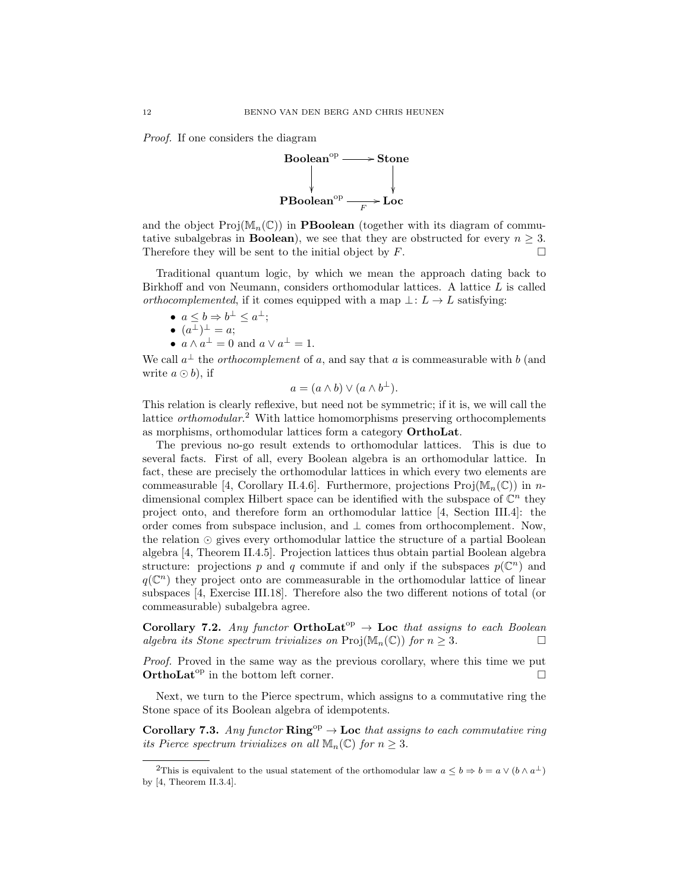Proof. If one considers the diagram



and the object  $\text{Proj}(\mathbb{M}_n(\mathbb{C}))$  in **PBoolean** (together with its diagram of commutative subalgebras in **Boolean**), we see that they are obstructed for every  $n \geq 3$ . Therefore they will be sent to the initial object by  $F$ .

Traditional quantum logic, by which we mean the approach dating back to Birkhoff and von Neumann, considers orthomodular lattices. A lattice L is called orthocomplemented, if it comes equipped with a map  $\bot: L \to L$  satisfying:

- $a \leq b \Rightarrow b^{\perp} \leq a^{\perp};$
- $(a^{\perp})^{\perp} = a;$
- $a \wedge a^{\perp} = 0$  and  $a \vee a^{\perp} = 1$ .

We call  $a^{\perp}$  the *orthocomplement* of a, and say that a is commeasurable with b (and write  $a \odot b$ , if

$$
a = (a \wedge b) \vee (a \wedge b^{\perp}).
$$

This relation is clearly reflexive, but need not be symmetric; if it is, we will call the lattice *orthomodular*.<sup>2</sup> With lattice homomorphisms preserving orthocomplements as morphisms, orthomodular lattices form a category OrthoLat.

The previous no-go result extends to orthomodular lattices. This is due to several facts. First of all, every Boolean algebra is an orthomodular lattice. In fact, these are precisely the orthomodular lattices in which every two elements are commeasurable [4, Corollary II.4.6]. Furthermore, projections  $\text{Proj}(\mathbb{M}_n(\mathbb{C}))$  in ndimensional complex Hilbert space can be identified with the subspace of  $\mathbb{C}^n$  they project onto, and therefore form an orthomodular lattice [4, Section III.4]: the order comes from subspace inclusion, and  $\perp$  comes from orthocomplement. Now, the relation  $\odot$  gives every orthomodular lattice the structure of a partial Boolean algebra [4, Theorem II.4.5]. Projection lattices thus obtain partial Boolean algebra structure: projections p and q commute if and only if the subspaces  $p(\mathbb{C}^n)$  and  $q(\mathbb{C}^n)$  they project onto are commeasurable in the orthomodular lattice of linear subspaces [4, Exercise III.18]. Therefore also the two different notions of total (or commeasurable) subalgebra agree.

Corollary 7.2. Any functor OrthoLat<sup>op</sup>  $\rightarrow$  Loc that assigns to each Boolean algebra its Stone spectrum trivializes on  $\text{Proj}(\mathbb{M}_n(\mathbb{C}))$  for  $n \geq 3$ .

Proof. Proved in the same way as the previous corollary, where this time we put **OrthoLat<sup>op</sup>** in the bottom left corner.

Next, we turn to the Pierce spectrum, which assigns to a commutative ring the Stone space of its Boolean algebra of idempotents.

Corollary 7.3. Any functor  $\mathbf{Ring}^{\mathrm{op}} \to \mathbf{Loc}$  that assigns to each commutative ring its Pierce spectrum trivializes on all  $\mathbb{M}_{n}(\mathbb{C})$  for  $n \geq 3$ .

<sup>&</sup>lt;sup>2</sup>This is equivalent to the usual statement of the orthomodular law  $a \leq b \Rightarrow b = a \vee (b \wedge a^{\perp})$ by [4, Theorem II.3.4].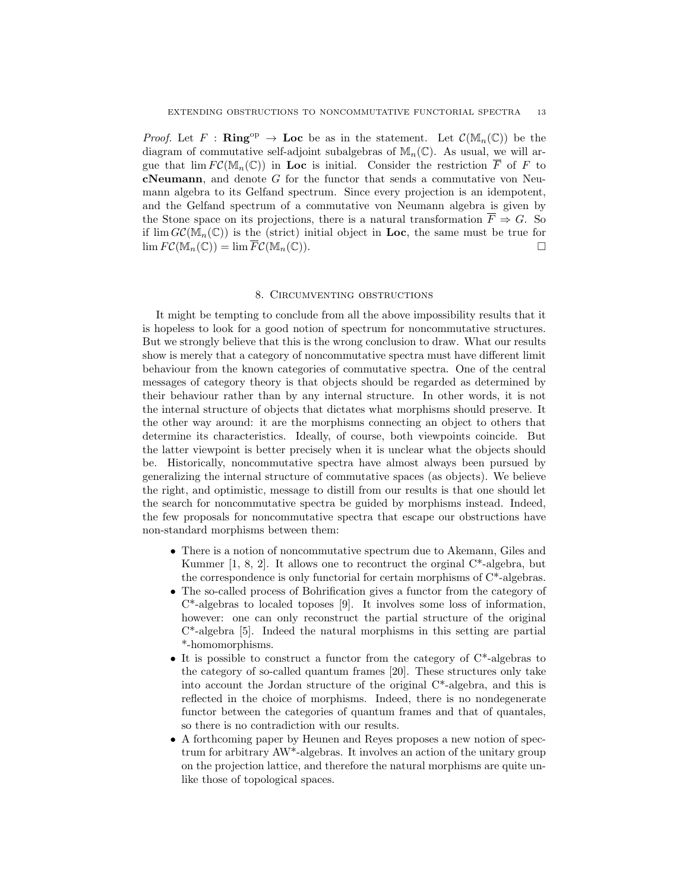*Proof.* Let F : Ring<sup>op</sup>  $\rightarrow$  Loc be as in the statement. Let  $\mathcal{C}(\mathbb{M}_n(\mathbb{C}))$  be the diagram of commutative self-adjoint subalgebras of  $\mathbb{M}_n(\mathbb{C})$ . As usual, we will argue that  $\lim F\mathcal{C}(\mathbb{M}_n(\mathbb{C}))$  in Loc is initial. Consider the restriction  $\overline{F}$  of F to **cNeumann**, and denote  $G$  for the functor that sends a commutative von Neumann algebra to its Gelfand spectrum. Since every projection is an idempotent, and the Gelfand spectrum of a commutative von Neumann algebra is given by the Stone space on its projections, there is a natural transformation  $\overline{F} \Rightarrow G$ . So if  $\lim G\mathcal{C}(\mathbb{M}_n(\mathbb{C}))$  is the (strict) initial object in Loc, the same must be true for  $\lim F\mathcal{C}(\mathbb{M}_n(\mathbb{C})) = \lim \overline{F}\mathcal{C}(\mathbb{M}_n(\mathbb{C})).$ 

## 8. Circumventing obstructions

It might be tempting to conclude from all the above impossibility results that it is hopeless to look for a good notion of spectrum for noncommutative structures. But we strongly believe that this is the wrong conclusion to draw. What our results show is merely that a category of noncommutative spectra must have different limit behaviour from the known categories of commutative spectra. One of the central messages of category theory is that objects should be regarded as determined by their behaviour rather than by any internal structure. In other words, it is not the internal structure of objects that dictates what morphisms should preserve. It the other way around: it are the morphisms connecting an object to others that determine its characteristics. Ideally, of course, both viewpoints coincide. But the latter viewpoint is better precisely when it is unclear what the objects should be. Historically, noncommutative spectra have almost always been pursued by generalizing the internal structure of commutative spaces (as objects). We believe the right, and optimistic, message to distill from our results is that one should let the search for noncommutative spectra be guided by morphisms instead. Indeed, the few proposals for noncommutative spectra that escape our obstructions have non-standard morphisms between them:

- There is a notion of noncommutative spectrum due to Akemann, Giles and Kummer  $[1, 8, 2]$ . It allows one to recontruct the orginal  $C^*$ -algebra, but the correspondence is only functorial for certain morphisms of  $C^*$ -algebras.
- The so-called process of Bohrification gives a functor from the category of C\*-algebras to localed toposes [9]. It involves some loss of information, however: one can only reconstruct the partial structure of the original C\*-algebra [5]. Indeed the natural morphisms in this setting are partial \*-homomorphisms.
- It is possible to construct a functor from the category of  $C^*$ -algebras to the category of so-called quantum frames [20]. These structures only take into account the Jordan structure of the original C\*-algebra, and this is reflected in the choice of morphisms. Indeed, there is no nondegenerate functor between the categories of quantum frames and that of quantales, so there is no contradiction with our results.
- A forthcoming paper by Heunen and Reyes proposes a new notion of spectrum for arbitrary AW\*-algebras. It involves an action of the unitary group on the projection lattice, and therefore the natural morphisms are quite unlike those of topological spaces.